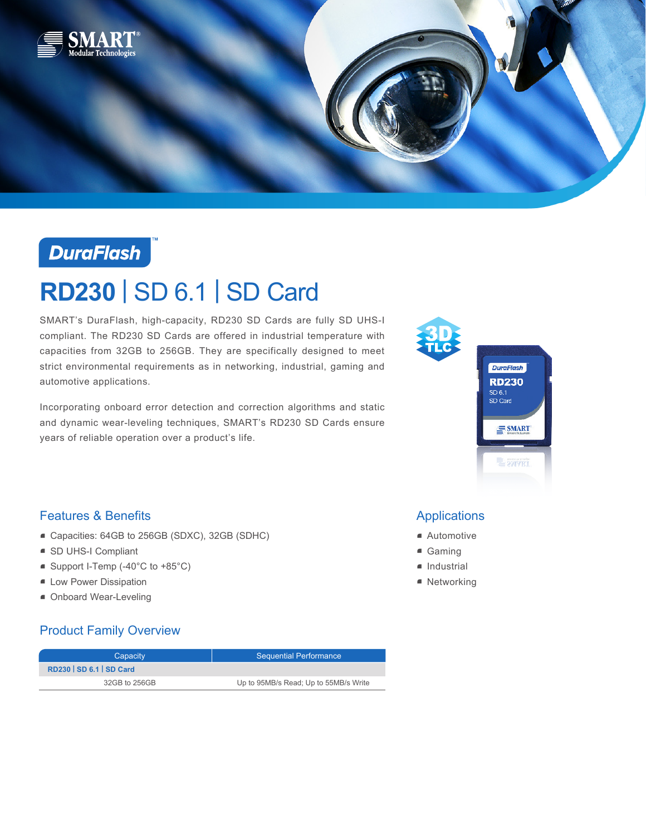



# **RD230** | SD 6.1 | SD Card

SMART's DuraFlash, high-capacity, RD230 SD Cards are fully SD UHS-I compliant. The RD230 SD Cards are offered in industrial temperature with capacities from 32GB to 256GB. They are specifically designed to meet strict environmental requirements as in networking, industrial, gaming and automotive applications.

Incorporating onboard error detection and correction algorithms and static and dynamic wear-leveling techniques, SMART's RD230 SD Cards ensure years of reliable operation over a product's life.



### Features & Benefits

- Capacities: 64GB to 256GB (SDXC), 32GB (SDHC)
- SD UHS-I Compliant
- Support I-Temp (-40°C to +85°C)
- **E** Low Power Dissipation
- Onboard Wear-Leveling

### Product Family Overview

| Capacity                        | <b>Sequential Performance</b>         |
|---------------------------------|---------------------------------------|
| <b>RD230   SD 6.1   SD Card</b> |                                       |
| 32GB to 256GB                   | Up to 95MB/s Read; Up to 55MB/s Write |

## Applications

- Automotive
- Gaming
- Industrial
- Networking